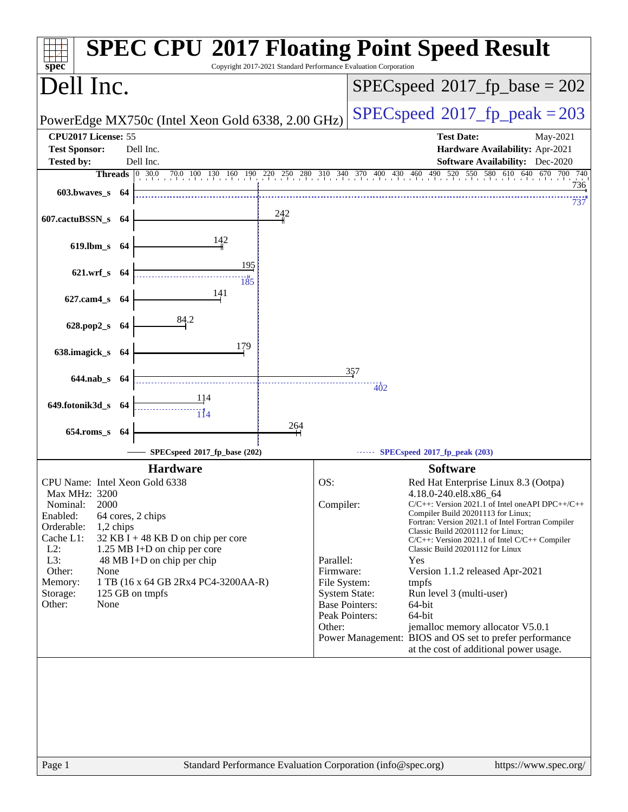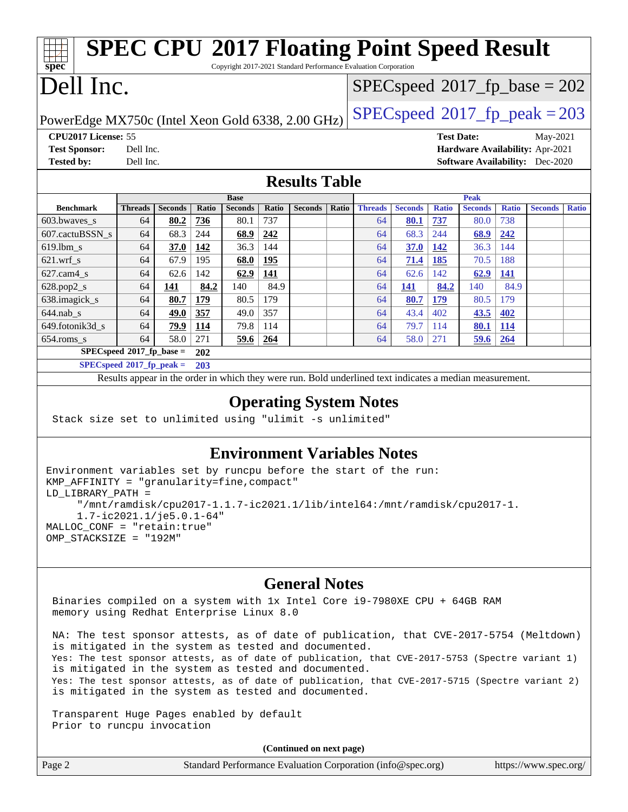| <b>SPEC CPU®2017 Floating Point Speed Result</b><br>Copyright 2017-2021 Standard Performance Evaluation Corporation<br>spec <sup>®</sup> |                                                                                                          |                |       |                |              |                                         |                                         |                                 |                |              |                |              |                |              |
|------------------------------------------------------------------------------------------------------------------------------------------|----------------------------------------------------------------------------------------------------------|----------------|-------|----------------|--------------|-----------------------------------------|-----------------------------------------|---------------------------------|----------------|--------------|----------------|--------------|----------------|--------------|
| Dell Inc.                                                                                                                                |                                                                                                          |                |       |                |              | $SPEC speed^{\circ}2017$ _fp_base = 202 |                                         |                                 |                |              |                |              |                |              |
| PowerEdge MX750c (Intel Xeon Gold 6338, 2.00 GHz)                                                                                        |                                                                                                          |                |       |                |              |                                         | $SPEC speed^{\circ}2017$ _fp_peak = 203 |                                 |                |              |                |              |                |              |
| CPU2017 License: 55                                                                                                                      |                                                                                                          |                |       |                |              |                                         |                                         | <b>Test Date:</b><br>May-2021   |                |              |                |              |                |              |
| <b>Test Sponsor:</b>                                                                                                                     | Dell Inc.                                                                                                |                |       |                |              |                                         |                                         | Hardware Availability: Apr-2021 |                |              |                |              |                |              |
| <b>Tested by:</b>                                                                                                                        | <b>Software Availability:</b> Dec-2020<br>Dell Inc.                                                      |                |       |                |              |                                         |                                         |                                 |                |              |                |              |                |              |
| <b>Results Table</b>                                                                                                                     |                                                                                                          |                |       |                |              |                                         |                                         |                                 |                |              |                |              |                |              |
|                                                                                                                                          |                                                                                                          |                |       | <b>Base</b>    |              |                                         |                                         |                                 |                |              | <b>Peak</b>    |              |                |              |
| <b>Benchmark</b>                                                                                                                         | <b>Threads</b>                                                                                           | <b>Seconds</b> | Ratio | <b>Seconds</b> | <b>Ratio</b> | <b>Seconds</b>                          | Ratio                                   | <b>Threads</b>                  | <b>Seconds</b> | <b>Ratio</b> | <b>Seconds</b> | <b>Ratio</b> | <b>Seconds</b> | <b>Ratio</b> |
| 603.bwaves_s                                                                                                                             | 64                                                                                                       | 80.2           | 736   | 80.1           | 737          |                                         |                                         | 64                              | 80.1           | 737          | 80.0           | 738          |                |              |
| 607.cactuBSSN s                                                                                                                          | 64                                                                                                       | 68.3           | 244   | 68.9           | 242          |                                         |                                         | 64                              | 68.3           | 244          | 68.9           | 242          |                |              |
| 619.lbm s                                                                                                                                | 64                                                                                                       | 37.0           | 142   | 36.3           | 144          |                                         |                                         | 64                              | <b>37.0</b>    | 142          | 36.3           | 144          |                |              |
| $621$ .wrf s                                                                                                                             | 64                                                                                                       | 67.9           | 195   | 68.0           | 195          |                                         |                                         | 64                              | 71.4           | 185          | 70.5           | 188          |                |              |
| $627$ .cam4 s                                                                                                                            | 64                                                                                                       | 62.6           | 142   | 62.9           | 141          |                                         |                                         | 64                              | 62.6           | 142          | 62.9           | 141          |                |              |
| 628.pop2_s                                                                                                                               | 64                                                                                                       | 141            | 84.2  | 140            | 84.9         |                                         |                                         | 64                              | 141            | 84.2         | 140            | 84.9         |                |              |
| 638.imagick_s                                                                                                                            | 64                                                                                                       | 80.7           | 179   | 80.5           | 179          |                                         |                                         | 64                              | 80.7           | 179          | 80.5           | 179          |                |              |
| $644$ .nab s                                                                                                                             | 64                                                                                                       | 49.0           | 357   | 49.0           | 357          |                                         |                                         | 64                              | 43.4           | 402          | 43.5           | 402          |                |              |
| 649.fotonik3d_s                                                                                                                          | 64                                                                                                       | 79.9           | 114   | 79.8           | 114          |                                         |                                         | 64                              | 79.7           | 114          | 80.1           | 114          |                |              |
| 654.roms s                                                                                                                               | 64                                                                                                       | 58.0           | 271   | 59.6           | 264          |                                         |                                         | 64                              | 58.0           | 271          | 59.6           | 264          |                |              |
| $SPEC speed*2017_fp\_base =$<br>202                                                                                                      |                                                                                                          |                |       |                |              |                                         |                                         |                                 |                |              |                |              |                |              |
| $SPECspeed*2017_fp\_peak =$                                                                                                              |                                                                                                          |                | 203   |                |              |                                         |                                         |                                 |                |              |                |              |                |              |
|                                                                                                                                          | Results appear in the order in which they were run. Bold underlined text indicates a median measurement. |                |       |                |              |                                         |                                         |                                 |                |              |                |              |                |              |

### **[Operating System Notes](http://www.spec.org/auto/cpu2017/Docs/result-fields.html#OperatingSystemNotes)**

Stack size set to unlimited using "ulimit -s unlimited"

### **[Environment Variables Notes](http://www.spec.org/auto/cpu2017/Docs/result-fields.html#EnvironmentVariablesNotes)**

```
Environment variables set by runcpu before the start of the run:
KMP_AFFINITY = "granularity=fine,compact"
LD_LIBRARY_PATH =
      "/mnt/ramdisk/cpu2017-1.1.7-ic2021.1/lib/intel64:/mnt/ramdisk/cpu2017-1.
      1.7-ic2021.1/je5.0.1-64"
MALLOC_CONF = "retain:true"
OMP_STACKSIZE = "192M"
```
### **[General Notes](http://www.spec.org/auto/cpu2017/Docs/result-fields.html#GeneralNotes)**

 Binaries compiled on a system with 1x Intel Core i9-7980XE CPU + 64GB RAM memory using Redhat Enterprise Linux 8.0

 NA: The test sponsor attests, as of date of publication, that CVE-2017-5754 (Meltdown) is mitigated in the system as tested and documented. Yes: The test sponsor attests, as of date of publication, that CVE-2017-5753 (Spectre variant 1) is mitigated in the system as tested and documented. Yes: The test sponsor attests, as of date of publication, that CVE-2017-5715 (Spectre variant 2) is mitigated in the system as tested and documented.

 Transparent Huge Pages enabled by default Prior to runcpu invocation

**(Continued on next page)**

| Page 2 | Standard Performance Evaluation Corporation (info@spec.org) | https://www.spec.org/ |
|--------|-------------------------------------------------------------|-----------------------|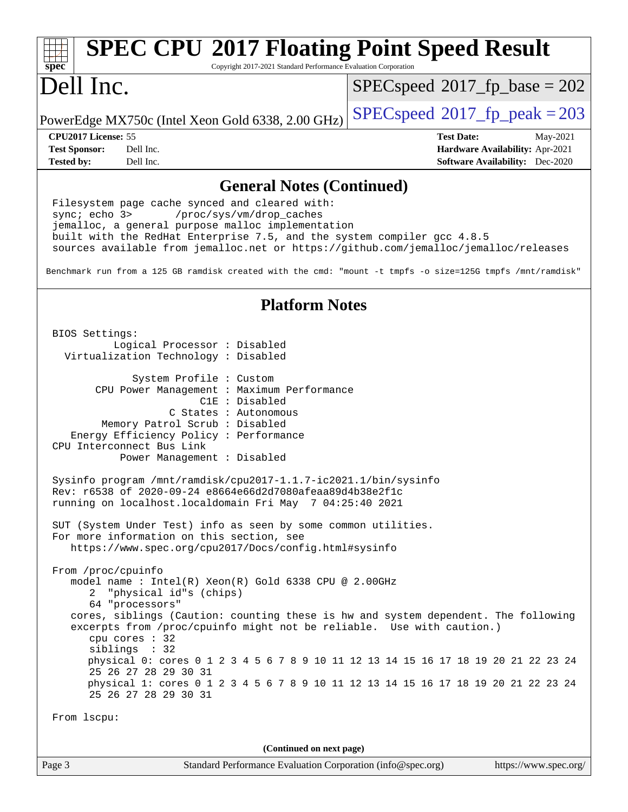#### Page 3 Standard Performance Evaluation Corporation [\(info@spec.org\)](mailto:info@spec.org) <https://www.spec.org/> **[spec](http://www.spec.org/) [SPEC CPU](http://www.spec.org/auto/cpu2017/Docs/result-fields.html#SPECCPU2017FloatingPointSpeedResult)[2017 Floating Point Speed Result](http://www.spec.org/auto/cpu2017/Docs/result-fields.html#SPECCPU2017FloatingPointSpeedResult)** Copyright 2017-2021 Standard Performance Evaluation Corporation Dell Inc. PowerEdge MX750c (Intel Xeon Gold 6338, 2.00 GHz)  $\left|$  [SPECspeed](http://www.spec.org/auto/cpu2017/Docs/result-fields.html#SPECspeed2017fppeak)<sup>®</sup>[2017\\_fp\\_peak = 2](http://www.spec.org/auto/cpu2017/Docs/result-fields.html#SPECspeed2017fppeak)03  $SPEC speed^{\circ}2017\_fp\_base = 202$ **[CPU2017 License:](http://www.spec.org/auto/cpu2017/Docs/result-fields.html#CPU2017License)** 55 **[Test Date:](http://www.spec.org/auto/cpu2017/Docs/result-fields.html#TestDate)** May-2021 **[Test Sponsor:](http://www.spec.org/auto/cpu2017/Docs/result-fields.html#TestSponsor)** Dell Inc. **[Hardware Availability:](http://www.spec.org/auto/cpu2017/Docs/result-fields.html#HardwareAvailability)** Apr-2021 **[Tested by:](http://www.spec.org/auto/cpu2017/Docs/result-fields.html#Testedby)** Dell Inc. **[Software Availability:](http://www.spec.org/auto/cpu2017/Docs/result-fields.html#SoftwareAvailability)** Dec-2020 **[General Notes \(Continued\)](http://www.spec.org/auto/cpu2017/Docs/result-fields.html#GeneralNotes)** Filesystem page cache synced and cleared with: sync; echo 3> /proc/sys/vm/drop\_caches jemalloc, a general purpose malloc implementation built with the RedHat Enterprise 7.5, and the system compiler gcc 4.8.5 sources available from jemalloc.net or <https://github.com/jemalloc/jemalloc/releases> Benchmark run from a 125 GB ramdisk created with the cmd: "mount -t tmpfs -o size=125G tmpfs /mnt/ramdisk" **[Platform Notes](http://www.spec.org/auto/cpu2017/Docs/result-fields.html#PlatformNotes)** BIOS Settings: Logical Processor : Disabled Virtualization Technology : Disabled System Profile : Custom CPU Power Management : Maximum Performance C1E : Disabled C States : Autonomous Memory Patrol Scrub : Disabled Energy Efficiency Policy : Performance CPU Interconnect Bus Link Power Management : Disabled Sysinfo program /mnt/ramdisk/cpu2017-1.1.7-ic2021.1/bin/sysinfo Rev: r6538 of 2020-09-24 e8664e66d2d7080afeaa89d4b38e2f1c running on localhost.localdomain Fri May 7 04:25:40 2021 SUT (System Under Test) info as seen by some common utilities. For more information on this section, see <https://www.spec.org/cpu2017/Docs/config.html#sysinfo> From /proc/cpuinfo model name : Intel(R) Xeon(R) Gold 6338 CPU @ 2.00GHz 2 "physical id"s (chips) 64 "processors" cores, siblings (Caution: counting these is hw and system dependent. The following excerpts from /proc/cpuinfo might not be reliable. Use with caution.) cpu cores : 32 siblings : 32 physical 0: cores 0 1 2 3 4 5 6 7 8 9 10 11 12 13 14 15 16 17 18 19 20 21 22 23 24 25 26 27 28 29 30 31 physical 1: cores 0 1 2 3 4 5 6 7 8 9 10 11 12 13 14 15 16 17 18 19 20 21 22 23 24 25 26 27 28 29 30 31 From lscpu: **(Continued on next page)**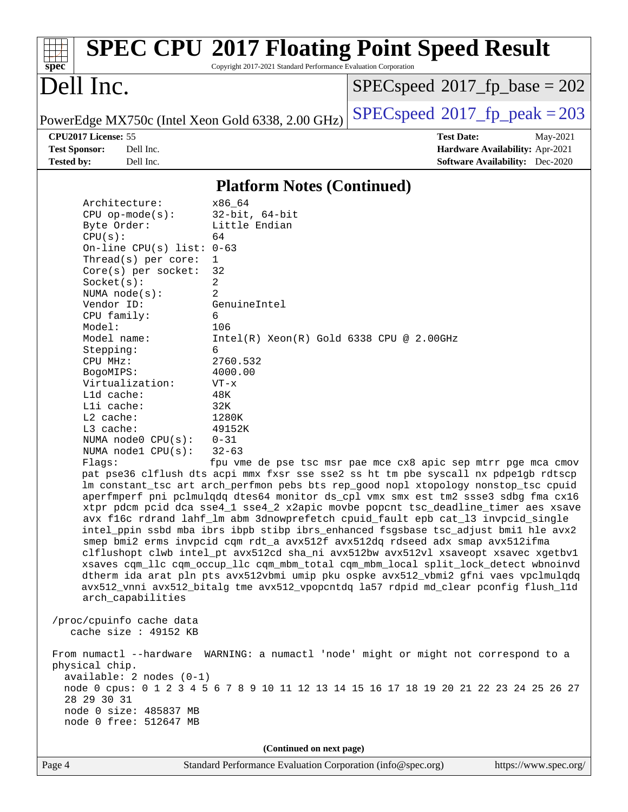| Spec                                    |                            |           |                                                   | Copyright 2017-2021 Standard Performance Evaluation Corporation | <b>SPEC CPU®2017 Floating Point Speed Result</b> |                                        |          |
|-----------------------------------------|----------------------------|-----------|---------------------------------------------------|-----------------------------------------------------------------|--------------------------------------------------|----------------------------------------|----------|
| Dell Inc.                               |                            |           |                                                   |                                                                 | $SPEC speed^{\circ}2017$ fp base = 202           |                                        |          |
|                                         |                            |           | PowerEdge MX750c (Intel Xeon Gold 6338, 2.00 GHz) |                                                                 | $SPEC speed^{\circ}2017$ _fp_peak = 203          |                                        |          |
|                                         | <b>CPU2017 License: 55</b> |           |                                                   |                                                                 |                                                  | <b>Test Date:</b>                      | May-2021 |
| <b>Test Sponsor:</b>                    |                            | Dell Inc. |                                                   |                                                                 |                                                  | Hardware Availability: Apr-2021        |          |
| <b>Tested by:</b>                       |                            | Dell Inc. |                                                   |                                                                 |                                                  | <b>Software Availability:</b> Dec-2020 |          |
|                                         |                            |           |                                                   | <b>Platform Notes (Continued)</b>                               |                                                  |                                        |          |
| Architecture:<br>$CDII$ on-mode $(s)$ : |                            | x86 64    | $32 - h + 64 - h +$                               |                                                                 |                                                  |                                        |          |

PU op-mode(s): Byte Order: Little Endian  $CPU(s):$  64 On-line CPU(s) list: 0-63 Thread(s) per core: 1 Core(s) per socket: 32 Socket(s): 2 NUMA node(s): 2 Vendor ID: GenuineIntel CPU family: 6 Model: 106 Model name: Intel(R) Xeon(R) Gold 6338 CPU @ 2.00GHz Stepping: 6 CPU MHz: 2760.532 BogoMIPS: 4000.00 Virtualization: VT-x L1d cache: 48K L1i cache: 32K L2 cache: 1280K L3 cache: 49152K NUMA node0 CPU(s): 0-31

Flags: fpu vme de pse tsc msr pae mce cx8 apic sep mtrr pge mca cmov pat pse36 clflush dts acpi mmx fxsr sse sse2 ss ht tm pbe syscall nx pdpe1gb rdtscp lm constant\_tsc art arch\_perfmon pebs bts rep\_good nopl xtopology nonstop\_tsc cpuid aperfmperf pni pclmulqdq dtes64 monitor ds\_cpl vmx smx est tm2 ssse3 sdbg fma cx16 xtpr pdcm pcid dca sse4\_1 sse4\_2 x2apic movbe popcnt tsc\_deadline\_timer aes xsave avx f16c rdrand lahf\_lm abm 3dnowprefetch cpuid\_fault epb cat\_l3 invpcid\_single intel\_ppin ssbd mba ibrs ibpb stibp ibrs\_enhanced fsgsbase tsc\_adjust bmi1 hle avx2 smep bmi2 erms invpcid cqm rdt\_a avx512f avx512dq rdseed adx smap avx512ifma clflushopt clwb intel\_pt avx512cd sha\_ni avx512bw avx512vl xsaveopt xsavec xgetbv1 xsaves cqm\_llc cqm\_occup\_llc cqm\_mbm\_total cqm\_mbm\_local split\_lock\_detect wbnoinvd dtherm ida arat pln pts avx512vbmi umip pku ospke avx512\_vbmi2 gfni vaes vpclmulqdq avx512\_vnni avx512\_bitalg tme avx512\_vpopcntdq la57 rdpid md\_clear pconfig flush\_l1d arch\_capabilities

 /proc/cpuinfo cache data cache size : 49152 KB

NUMA node1 CPU(s): 32-63

 From numactl --hardware WARNING: a numactl 'node' might or might not correspond to a physical chip. available: 2 nodes (0-1) node 0 cpus: 0 1 2 3 4 5 6 7 8 9 10 11 12 13 14 15 16 17 18 19 20 21 22 23 24 25 26 27 28 29 30 31 node 0 size: 485837 MB node 0 free: 512647 MB

**(Continued on next page)**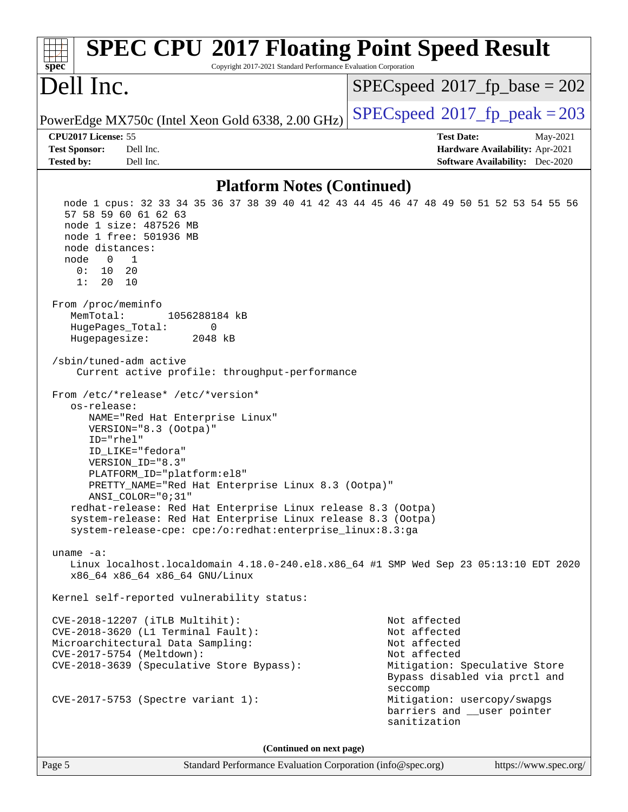| <b>SPEC CPU®2017 Floating Point Speed Result</b><br>Copyright 2017-2021 Standard Performance Evaluation Corporation<br>spec <sup>®</sup>                                                                                                                                                                                                                                                                                                                                 |                                                                                                                                                                                                                         |  |  |  |
|--------------------------------------------------------------------------------------------------------------------------------------------------------------------------------------------------------------------------------------------------------------------------------------------------------------------------------------------------------------------------------------------------------------------------------------------------------------------------|-------------------------------------------------------------------------------------------------------------------------------------------------------------------------------------------------------------------------|--|--|--|
| Dell Inc.                                                                                                                                                                                                                                                                                                                                                                                                                                                                | $SPEC speed^{\circ}2017$ fp base = 202                                                                                                                                                                                  |  |  |  |
| PowerEdge MX750c (Intel Xeon Gold 6338, 2.00 GHz)                                                                                                                                                                                                                                                                                                                                                                                                                        | $SPEC speed^{\circ}2017$ fp peak = 203                                                                                                                                                                                  |  |  |  |
| CPU2017 License: 55                                                                                                                                                                                                                                                                                                                                                                                                                                                      | <b>Test Date:</b><br>May-2021                                                                                                                                                                                           |  |  |  |
| Dell Inc.<br><b>Test Sponsor:</b>                                                                                                                                                                                                                                                                                                                                                                                                                                        | Hardware Availability: Apr-2021                                                                                                                                                                                         |  |  |  |
| Dell Inc.<br><b>Tested by:</b>                                                                                                                                                                                                                                                                                                                                                                                                                                           | <b>Software Availability:</b> Dec-2020                                                                                                                                                                                  |  |  |  |
| <b>Platform Notes (Continued)</b>                                                                                                                                                                                                                                                                                                                                                                                                                                        |                                                                                                                                                                                                                         |  |  |  |
| node 1 cpus: 32 33 34 35 36 37 38 39 40 41 42 43 44 45 46 47 48 49 50 51 52 53 54 55 56<br>57 58 59 60 61 62 63<br>node 1 size: 487526 MB<br>node 1 free: 501936 MB<br>node distances:<br>node<br>$\overline{0}$<br>1<br>0: 10 20<br>1:<br>20<br>10                                                                                                                                                                                                                      |                                                                                                                                                                                                                         |  |  |  |
| From /proc/meminfo<br>MemTotal:<br>1056288184 kB<br>HugePages_Total:<br>0<br>Hugepagesize:<br>2048 kB                                                                                                                                                                                                                                                                                                                                                                    |                                                                                                                                                                                                                         |  |  |  |
| /sbin/tuned-adm active<br>Current active profile: throughput-performance                                                                                                                                                                                                                                                                                                                                                                                                 |                                                                                                                                                                                                                         |  |  |  |
| From /etc/*release* /etc/*version*<br>os-release:<br>NAME="Red Hat Enterprise Linux"<br>VERSION="8.3 (Ootpa)"<br>ID="rhel"<br>ID_LIKE="fedora"<br>VERSION_ID="8.3"<br>PLATFORM_ID="platform:el8"<br>PRETTY_NAME="Red Hat Enterprise Linux 8.3 (Ootpa)"<br>ANSI_COLOR="0;31"<br>redhat-release: Red Hat Enterprise Linux release 8.3 (Ootpa)<br>system-release: Red Hat Enterprise Linux release 8.3 (Ootpa)<br>system-release-cpe: cpe:/o:redhat:enterprise_linux:8.3:ga |                                                                                                                                                                                                                         |  |  |  |
| $uname -a$ :<br>Linux localhost.localdomain 4.18.0-240.el8.x86_64 #1 SMP Wed Sep 23 05:13:10 EDT 2020<br>x86_64 x86_64 x86_64 GNU/Linux                                                                                                                                                                                                                                                                                                                                  |                                                                                                                                                                                                                         |  |  |  |
| Kernel self-reported vulnerability status:                                                                                                                                                                                                                                                                                                                                                                                                                               |                                                                                                                                                                                                                         |  |  |  |
| CVE-2018-12207 (iTLB Multihit):<br>CVE-2018-3620 (L1 Terminal Fault):<br>Microarchitectural Data Sampling:<br>CVE-2017-5754 (Meltdown):<br>CVE-2018-3639 (Speculative Store Bypass):<br>CVE-2017-5753 (Spectre variant 1):                                                                                                                                                                                                                                               | Not affected<br>Not affected<br>Not affected<br>Not affected<br>Mitigation: Speculative Store<br>Bypass disabled via prctl and<br>seccomp<br>Mitigation: usercopy/swapgs<br>barriers and __user pointer<br>sanitization |  |  |  |
| (Continued on next page)                                                                                                                                                                                                                                                                                                                                                                                                                                                 |                                                                                                                                                                                                                         |  |  |  |

Page 5 Standard Performance Evaluation Corporation [\(info@spec.org\)](mailto:info@spec.org) <https://www.spec.org/>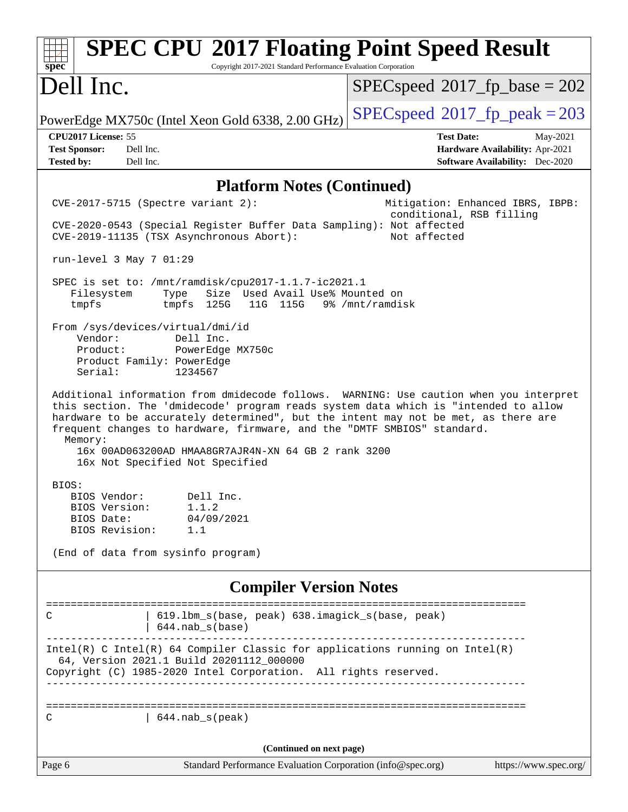| <b>SPEC CPU®2017 Floating Point Speed Result</b><br>Copyright 2017-2021 Standard Performance Evaluation Corporation<br>spec <sup>®</sup>                                                                                                                                                                                                                                                                                                            |                                                                                                            |
|-----------------------------------------------------------------------------------------------------------------------------------------------------------------------------------------------------------------------------------------------------------------------------------------------------------------------------------------------------------------------------------------------------------------------------------------------------|------------------------------------------------------------------------------------------------------------|
| Dell Inc.                                                                                                                                                                                                                                                                                                                                                                                                                                           | $SPEC speed^{\circ}2017$ fp base = 202                                                                     |
| PowerEdge MX750c (Intel Xeon Gold 6338, 2.00 GHz)                                                                                                                                                                                                                                                                                                                                                                                                   | $SPEC speed^{\circ}2017$ fp peak = 203                                                                     |
| CPU2017 License: 55<br><b>Test Sponsor:</b><br>Dell Inc.<br>Dell Inc.<br><b>Tested by:</b>                                                                                                                                                                                                                                                                                                                                                          | <b>Test Date:</b><br>May-2021<br>Hardware Availability: Apr-2021<br><b>Software Availability:</b> Dec-2020 |
| <b>Platform Notes (Continued)</b>                                                                                                                                                                                                                                                                                                                                                                                                                   |                                                                                                            |
| $CVE-2017-5715$ (Spectre variant 2):<br>CVE-2020-0543 (Special Register Buffer Data Sampling): Not affected<br>CVE-2019-11135 (TSX Asynchronous Abort):                                                                                                                                                                                                                                                                                             | Mitigation: Enhanced IBRS, IBPB:<br>conditional, RSB filling<br>Not affected                               |
| run-level 3 May 7 01:29                                                                                                                                                                                                                                                                                                                                                                                                                             |                                                                                                            |
| SPEC is set to: /mnt/ramdisk/cpu2017-1.1.7-ic2021.1<br>Size Used Avail Use% Mounted on<br>Filesystem<br>Type<br>tmpfs<br>tmpfs 125G<br>11G 115G 9% / mnt/ramdisk                                                                                                                                                                                                                                                                                    |                                                                                                            |
| From /sys/devices/virtual/dmi/id<br>Vendor:<br>Dell Inc.<br>Product:<br>PowerEdge MX750c<br>Product Family: PowerEdge<br>Serial:<br>1234567                                                                                                                                                                                                                                                                                                         |                                                                                                            |
| Additional information from dmidecode follows. WARNING: Use caution when you interpret<br>this section. The 'dmidecode' program reads system data which is "intended to allow<br>hardware to be accurately determined", but the intent may not be met, as there are<br>frequent changes to hardware, firmware, and the "DMTF SMBIOS" standard.<br>Memory:<br>16x 00AD063200AD HMAA8GR7AJR4N-XN 64 GB 2 rank 3200<br>16x Not Specified Not Specified |                                                                                                            |
| BIOS:<br>BIOS Vendor: Dell Inc.<br>BIOS Version:<br>1.1.2<br>04/09/2021<br>BIOS Date:<br>BIOS Revision:<br>1.1<br>(End of data from sysinfo program)                                                                                                                                                                                                                                                                                                |                                                                                                            |
|                                                                                                                                                                                                                                                                                                                                                                                                                                                     |                                                                                                            |
| <b>Compiler Version Notes</b>                                                                                                                                                                                                                                                                                                                                                                                                                       |                                                                                                            |
| 619.1bm_s(base, peak) 638.imagick_s(base, peak)<br>С<br>$644.nab_s(base)$                                                                                                                                                                                                                                                                                                                                                                           |                                                                                                            |
| Intel(R) C Intel(R) 64 Compiler Classic for applications running on Intel(R)<br>64, Version 2021.1 Build 20201112_000000<br>Copyright (C) 1985-2020 Intel Corporation. All rights reserved.                                                                                                                                                                                                                                                         |                                                                                                            |
| $644.nab_s(peak)$<br>С                                                                                                                                                                                                                                                                                                                                                                                                                              |                                                                                                            |
|                                                                                                                                                                                                                                                                                                                                                                                                                                                     |                                                                                                            |
| (Continued on next page)                                                                                                                                                                                                                                                                                                                                                                                                                            |                                                                                                            |
| Standard Performance Evaluation Corporation (info@spec.org)<br>Page 6                                                                                                                                                                                                                                                                                                                                                                               | https://www.spec.org/                                                                                      |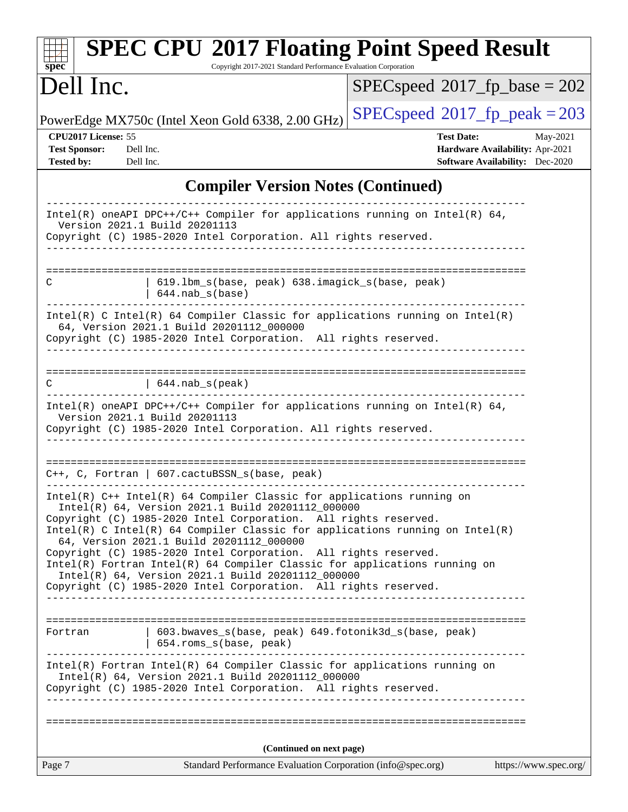| <b>SPEC CPU®2017 Floating Point Speed Result</b><br>Copyright 2017-2021 Standard Performance Evaluation Corporation<br>$spec^*$                                                                                                                                                                                             |                                                                                                                   |
|-----------------------------------------------------------------------------------------------------------------------------------------------------------------------------------------------------------------------------------------------------------------------------------------------------------------------------|-------------------------------------------------------------------------------------------------------------------|
| Dell Inc.                                                                                                                                                                                                                                                                                                                   | $SPEC speed^{\circ}2017$ fp base = 202                                                                            |
| PowerEdge MX750c (Intel Xeon Gold 6338, 2.00 GHz)                                                                                                                                                                                                                                                                           | $SPEC speed^{\circ}2017$ fp peak = 203                                                                            |
| CPU2017 License: 55<br><b>Test Sponsor:</b><br>Dell Inc.<br><b>Tested by:</b><br>Dell Inc.                                                                                                                                                                                                                                  | <b>Test Date:</b><br>May-2021<br><b>Hardware Availability: Apr-2021</b><br><b>Software Availability:</b> Dec-2020 |
| <b>Compiler Version Notes (Continued)</b>                                                                                                                                                                                                                                                                                   |                                                                                                                   |
| Intel(R) oneAPI DPC++/C++ Compiler for applications running on Intel(R) 64,<br>Version 2021.1 Build 20201113<br>Copyright (C) 1985-2020 Intel Corporation. All rights reserved.                                                                                                                                             |                                                                                                                   |
| 619.1bm_s(base, peak) 638.imagick_s(base, peak)<br>C<br>$644.nab_s(base)$                                                                                                                                                                                                                                                   |                                                                                                                   |
| Intel(R) C Intel(R) 64 Compiler Classic for applications running on $Intel(R)$<br>64, Version 2021.1 Build 20201112_000000<br>Copyright (C) 1985-2020 Intel Corporation. All rights reserved.                                                                                                                               |                                                                                                                   |
| C<br>$  644.nab_s(peak)$                                                                                                                                                                                                                                                                                                    | ____________________                                                                                              |
| Intel(R) oneAPI DPC++/C++ Compiler for applications running on Intel(R) $64$ ,<br>Version 2021.1 Build 20201113<br>Copyright (C) 1985-2020 Intel Corporation. All rights reserved.                                                                                                                                          |                                                                                                                   |
| $C++$ , C, Fortran   607.cactuBSSN_s(base, peak)                                                                                                                                                                                                                                                                            |                                                                                                                   |
| Intel(R) C++ Intel(R) 64 Compiler Classic for applications running on<br>Intel(R) 64, Version 2021.1 Build 20201112_000000<br>Copyright (C) 1985-2020 Intel Corporation. All rights reserved.<br>Intel(R) C Intel(R) 64 Compiler Classic for applications running on $Intel(R)$<br>64, Version 2021.1 Build 20201112_000000 |                                                                                                                   |
| Copyright (C) 1985-2020 Intel Corporation. All rights reserved.<br>Intel(R) Fortran Intel(R) 64 Compiler Classic for applications running on<br>Intel(R) 64, Version 2021.1 Build 20201112_000000<br>Copyright (C) 1985-2020 Intel Corporation. All rights reserved.                                                        |                                                                                                                   |
| 603.bwaves_s(base, peak) 649.fotonik3d_s(base, peak)<br>Fortran<br>654.roms_s(base, peak)                                                                                                                                                                                                                                   |                                                                                                                   |
| Intel(R) Fortran Intel(R) 64 Compiler Classic for applications running on<br>Intel(R) 64, Version 2021.1 Build 20201112_000000<br>Copyright (C) 1985-2020 Intel Corporation. All rights reserved.                                                                                                                           |                                                                                                                   |
| (Continued on next page)                                                                                                                                                                                                                                                                                                    |                                                                                                                   |
| Page 7<br>Standard Performance Evaluation Corporation (info@spec.org)                                                                                                                                                                                                                                                       | https://www.spec.org/                                                                                             |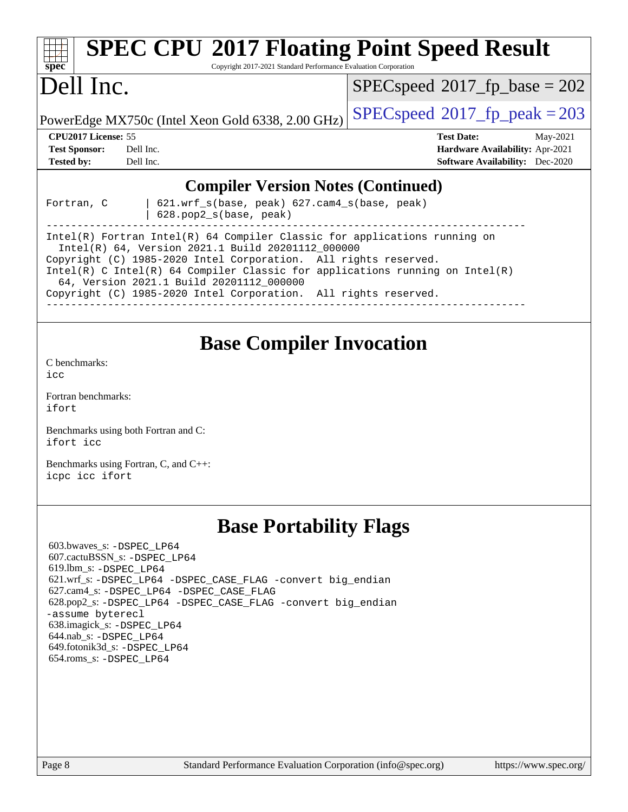| <b>SPEC CPU®2017 Floating Point Speed Result</b><br>Copyright 2017-2021 Standard Performance Evaluation Corporation<br>$spec^*$                                                                                                                                                                                                                                                                                                        |                                                                                                            |
|----------------------------------------------------------------------------------------------------------------------------------------------------------------------------------------------------------------------------------------------------------------------------------------------------------------------------------------------------------------------------------------------------------------------------------------|------------------------------------------------------------------------------------------------------------|
| Dell Inc.                                                                                                                                                                                                                                                                                                                                                                                                                              | $SPEC speed^{\circ}2017$ fp base = 202                                                                     |
| PowerEdge MX750c (Intel Xeon Gold 6338, 2.00 GHz)                                                                                                                                                                                                                                                                                                                                                                                      | $SPEC speed^{\circ}2017$ fp peak = 203                                                                     |
| CPU2017 License: 55<br><b>Test Sponsor:</b><br>Dell Inc.<br><b>Tested by:</b><br>Dell Inc.                                                                                                                                                                                                                                                                                                                                             | <b>Test Date:</b><br>May-2021<br>Hardware Availability: Apr-2021<br><b>Software Availability:</b> Dec-2020 |
| <b>Compiler Version Notes (Continued)</b><br>621.wrf_s(base, peak) 627.cam4_s(base, peak)<br>Fortran, C<br>628.pop2_s(base, peak)<br>Intel(R) Fortran Intel(R) 64 Compiler Classic for applications running on<br>Intel(R) 64, Version 2021.1 Build 20201112_000000<br>Copyright (C) 1985-2020 Intel Corporation. All rights reserved.<br>Intel(R) C Intel(R) 64 Compiler Classic for applications running on $Intel(R)$               |                                                                                                            |
| 64, Version 2021.1 Build 20201112_000000<br>Copyright (C) 1985-2020 Intel Corporation. All rights reserved.                                                                                                                                                                                                                                                                                                                            |                                                                                                            |
| <b>Base Compiler Invocation</b><br>C benchmarks:<br>icc<br>Fortran benchmarks:<br>ifort<br>Benchmarks using both Fortran and C:<br>ifort icc<br>Benchmarks using Fortran, C, and C++:<br>icpc icc ifort                                                                                                                                                                                                                                |                                                                                                            |
| <b>Base Portability Flags</b><br>603.bwaves_s: -DSPEC LP64<br>607.cactuBSSN_s: -DSPEC LP64<br>619.lbm_s: -DSPEC_LP64<br>621.wrf_s: -DSPEC_LP64 -DSPEC_CASE_FLAG -convert big_endian<br>627.cam4_s: -DSPEC LP64 -DSPEC CASE FLAG<br>628.pop2_s: -DSPEC_LP64 -DSPEC_CASE_FLAG -convert big_endian<br>-assume byterecl<br>638.imagick_s: -DSPEC LP64<br>644.nab_s: -DSPEC_LP64<br>649.fotonik3d_s: -DSPEC LP64<br>654.roms_s: -DSPEC_LP64 |                                                                                                            |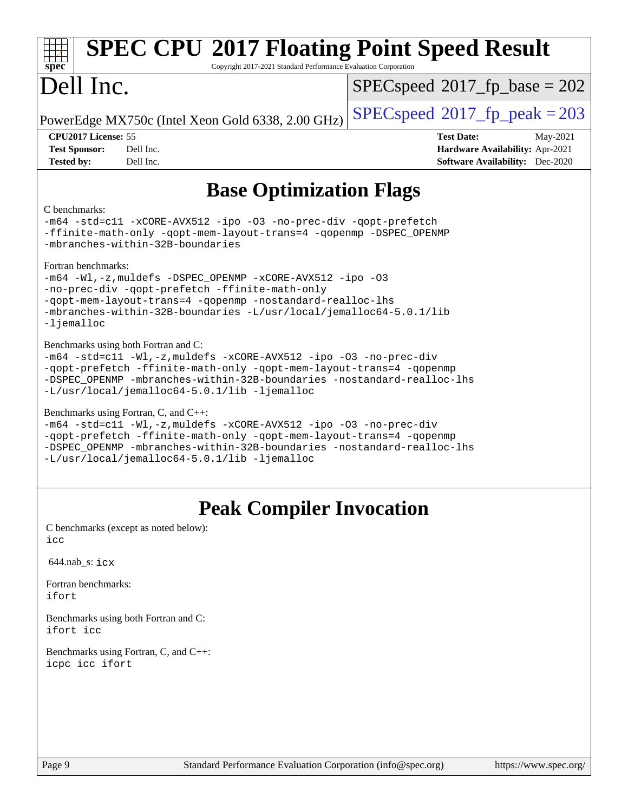| <b>SPEC CPU®2017 Floating Point Speed Result</b><br>Copyright 2017-2021 Standard Performance Evaluation Corporation<br>$spec^*$                                                                                                                                                                             |                                                                                                            |  |  |  |  |
|-------------------------------------------------------------------------------------------------------------------------------------------------------------------------------------------------------------------------------------------------------------------------------------------------------------|------------------------------------------------------------------------------------------------------------|--|--|--|--|
| Dell Inc.                                                                                                                                                                                                                                                                                                   | $SPEC speed^{\circ}2017$ fp base = 202                                                                     |  |  |  |  |
| PowerEdge MX750c (Intel Xeon Gold 6338, 2.00 GHz)                                                                                                                                                                                                                                                           | $SPEC speed^{\circ}2017$ [p_peak = 203                                                                     |  |  |  |  |
| CPU2017 License: 55<br>Dell Inc.<br><b>Test Sponsor:</b><br>Dell Inc.<br><b>Tested by:</b>                                                                                                                                                                                                                  | <b>Test Date:</b><br>May-2021<br>Hardware Availability: Apr-2021<br><b>Software Availability:</b> Dec-2020 |  |  |  |  |
| <b>Base Optimization Flags</b><br>C benchmarks:<br>-m64 -std=c11 -xCORE-AVX512 -ipo -03 -no-prec-div -qopt-prefetch<br>-ffinite-math-only -qopt-mem-layout-trans=4 -qopenmp -DSPEC_OPENMP<br>-mbranches-within-32B-boundaries                                                                               |                                                                                                            |  |  |  |  |
| Fortran benchmarks:<br>$-m64$ -Wl,-z, muldefs -DSPEC OPENMP -xCORE-AVX512 -ipo -03<br>-no-prec-div -qopt-prefetch -ffinite-math-only<br>-qopt-mem-layout-trans=4 -qopenmp -nostandard-realloc-lhs<br>-mbranches-within-32B-boundaries -L/usr/local/jemalloc64-5.0.1/lib<br>$-Ij$ emalloc                    |                                                                                                            |  |  |  |  |
| Benchmarks using both Fortran and C:<br>-m64 -std=c11 -Wl,-z, muldefs -xCORE-AVX512 -ipo -03 -no-prec-div<br>-qopt-prefetch -ffinite-math-only -qopt-mem-layout-trans=4 -qopenmp<br>-DSPEC_OPENMP -mbranches-within-32B-boundaries -nostandard-realloc-lhs<br>-L/usr/local/jemalloc64-5.0.1/lib -ljemalloc  |                                                                                                            |  |  |  |  |
| Benchmarks using Fortran, C, and C++:<br>-m64 -std=c11 -Wl,-z, muldefs -xCORE-AVX512 -ipo -03 -no-prec-div<br>-qopt-prefetch -ffinite-math-only -qopt-mem-layout-trans=4 -qopenmp<br>-DSPEC_OPENMP -mbranches-within-32B-boundaries -nostandard-realloc-lhs<br>-L/usr/local/jemalloc64-5.0.1/lib -ljemalloc |                                                                                                            |  |  |  |  |
| <b>Peak Compiler Invocation</b><br>C benchmarks (except as noted below):<br>icc                                                                                                                                                                                                                             |                                                                                                            |  |  |  |  |
| $644.nab$ <sub>s</sub> : $i$ $cx$                                                                                                                                                                                                                                                                           |                                                                                                            |  |  |  |  |
| Fortran benchmarks:<br>ifort                                                                                                                                                                                                                                                                                |                                                                                                            |  |  |  |  |
| Benchmarks using both Fortran and C:<br>ifort icc                                                                                                                                                                                                                                                           |                                                                                                            |  |  |  |  |

[Benchmarks using Fortran, C, and C++:](http://www.spec.org/auto/cpu2017/Docs/result-fields.html#BenchmarksusingFortranCandCXX) [icpc](http://www.spec.org/cpu2017/results/res2021q2/cpu2017-20210524-26544.flags.html#user_CC_CXX_FCpeak_intel_icpc_c510b6838c7f56d33e37e94d029a35b4a7bccf4766a728ee175e80a419847e808290a9b78be685c44ab727ea267ec2f070ec5dc83b407c0218cded6866a35d07) [icc](http://www.spec.org/cpu2017/results/res2021q2/cpu2017-20210524-26544.flags.html#user_CC_CXX_FCpeak_intel_icc_66fc1ee009f7361af1fbd72ca7dcefbb700085f36577c54f309893dd4ec40d12360134090235512931783d35fd58c0460139e722d5067c5574d8eaf2b3e37e92) [ifort](http://www.spec.org/cpu2017/results/res2021q2/cpu2017-20210524-26544.flags.html#user_CC_CXX_FCpeak_intel_ifort_8111460550e3ca792625aed983ce982f94888b8b503583aa7ba2b8303487b4d8a21a13e7191a45c5fd58ff318f48f9492884d4413fa793fd88dd292cad7027ca)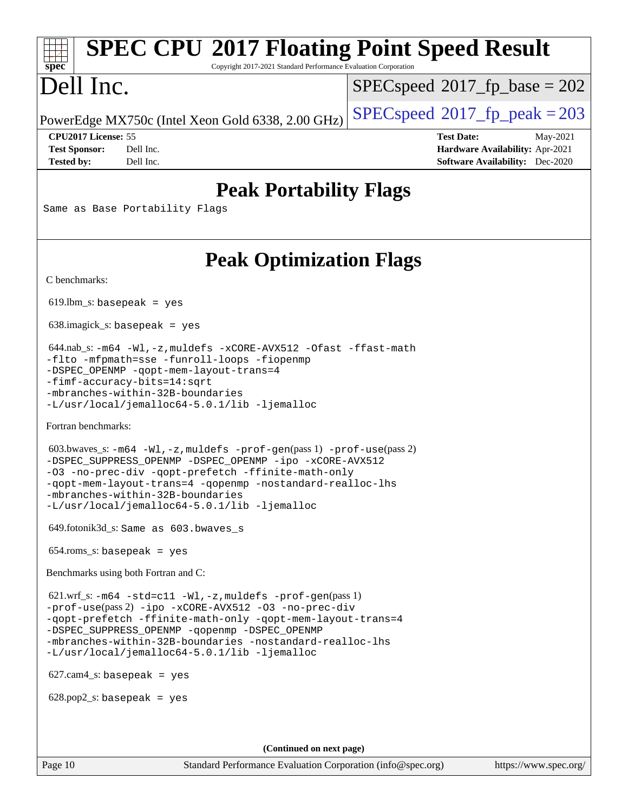# **[SPEC CPU](http://www.spec.org/auto/cpu2017/Docs/result-fields.html#SPECCPU2017FloatingPointSpeedResult)[2017 Floating Point Speed Result](http://www.spec.org/auto/cpu2017/Docs/result-fields.html#SPECCPU2017FloatingPointSpeedResult)**

Copyright 2017-2021 Standard Performance Evaluation Corporation

## Dell Inc.

**[spec](http://www.spec.org/)**

[SPECspeed](http://www.spec.org/auto/cpu2017/Docs/result-fields.html#SPECspeed2017fpbase)<sup>®</sup>2017 fp base = 202

PowerEdge MX750c (Intel Xeon Gold 6338, 2.00 GHz)  $\left|$  [SPECspeed](http://www.spec.org/auto/cpu2017/Docs/result-fields.html#SPECspeed2017fppeak)<sup>®</sup>[2017\\_fp\\_peak = 2](http://www.spec.org/auto/cpu2017/Docs/result-fields.html#SPECspeed2017fppeak)03

**[CPU2017 License:](http://www.spec.org/auto/cpu2017/Docs/result-fields.html#CPU2017License)** 55 **[Test Date:](http://www.spec.org/auto/cpu2017/Docs/result-fields.html#TestDate)** May-2021 **[Test Sponsor:](http://www.spec.org/auto/cpu2017/Docs/result-fields.html#TestSponsor)** Dell Inc. **[Hardware Availability:](http://www.spec.org/auto/cpu2017/Docs/result-fields.html#HardwareAvailability)** Apr-2021 **[Tested by:](http://www.spec.org/auto/cpu2017/Docs/result-fields.html#Testedby)** Dell Inc. **[Software Availability:](http://www.spec.org/auto/cpu2017/Docs/result-fields.html#SoftwareAvailability)** Dec-2020

### **[Peak Portability Flags](http://www.spec.org/auto/cpu2017/Docs/result-fields.html#PeakPortabilityFlags)**

Same as Base Portability Flags

## **[Peak Optimization Flags](http://www.spec.org/auto/cpu2017/Docs/result-fields.html#PeakOptimizationFlags)**

[C benchmarks](http://www.spec.org/auto/cpu2017/Docs/result-fields.html#Cbenchmarks):

 $619.$ lbm\_s: basepeak = yes

638.imagick\_s: basepeak = yes

 644.nab\_s: [-m64](http://www.spec.org/cpu2017/results/res2021q2/cpu2017-20210524-26544.flags.html#user_peakCCLD644_nab_s_m64-icc) [-Wl,-z,muldefs](http://www.spec.org/cpu2017/results/res2021q2/cpu2017-20210524-26544.flags.html#user_peakEXTRA_LDFLAGS644_nab_s_link_force_multiple1_b4cbdb97b34bdee9ceefcfe54f4c8ea74255f0b02a4b23e853cdb0e18eb4525ac79b5a88067c842dd0ee6996c24547a27a4b99331201badda8798ef8a743f577) [-xCORE-AVX512](http://www.spec.org/cpu2017/results/res2021q2/cpu2017-20210524-26544.flags.html#user_peakCOPTIMIZE644_nab_s_f-xCORE-AVX512) [-Ofast](http://www.spec.org/cpu2017/results/res2021q2/cpu2017-20210524-26544.flags.html#user_peakCOPTIMIZE644_nab_s_f-Ofast) [-ffast-math](http://www.spec.org/cpu2017/results/res2021q2/cpu2017-20210524-26544.flags.html#user_peakCOPTIMIZE644_nab_s_f-ffast-math) [-flto](http://www.spec.org/cpu2017/results/res2021q2/cpu2017-20210524-26544.flags.html#user_peakCOPTIMIZE644_nab_s_f-flto) [-mfpmath=sse](http://www.spec.org/cpu2017/results/res2021q2/cpu2017-20210524-26544.flags.html#user_peakCOPTIMIZE644_nab_s_f-mfpmath_70eb8fac26bde974f8ab713bc9086c5621c0b8d2f6c86f38af0bd7062540daf19db5f3a066d8c6684be05d84c9b6322eb3b5be6619d967835195b93d6c02afa1) [-funroll-loops](http://www.spec.org/cpu2017/results/res2021q2/cpu2017-20210524-26544.flags.html#user_peakCOPTIMIZE644_nab_s_f-funroll-loops) [-fiopenmp](http://www.spec.org/cpu2017/results/res2021q2/cpu2017-20210524-26544.flags.html#user_peakCOPTIMIZE644_nab_s_fiopenmp_4cde26b3fcccd23bd0bb70af4efc204325d72839eefa1147e34201101709f20b3deb62aad96701dea148529bf4ca48c90b72f3bf837ca148e297cf8a0ba6feb7) [-DSPEC\\_OPENMP](http://www.spec.org/cpu2017/results/res2021q2/cpu2017-20210524-26544.flags.html#suite_peakCOPTIMIZE644_nab_s_DSPEC_OPENMP) [-qopt-mem-layout-trans=4](http://www.spec.org/cpu2017/results/res2021q2/cpu2017-20210524-26544.flags.html#user_peakCOPTIMIZE644_nab_s_f-qopt-mem-layout-trans_fa39e755916c150a61361b7846f310bcdf6f04e385ef281cadf3647acec3f0ae266d1a1d22d972a7087a248fd4e6ca390a3634700869573d231a252c784941a8) [-fimf-accuracy-bits=14:sqrt](http://www.spec.org/cpu2017/results/res2021q2/cpu2017-20210524-26544.flags.html#user_peakEXTRA_OPTIMIZE644_nab_s_f-imf-accuracy-bits_dec3764af0c61f52590ca8f859bc2b38948cb3a9f4bd45f959a8dd6743142ff5c0d5c89fdfba8d7c6d41a5122d7dc4d32797a5effd20a981baa30839b7373d7d) [-mbranches-within-32B-boundaries](http://www.spec.org/cpu2017/results/res2021q2/cpu2017-20210524-26544.flags.html#user_peakEXTRA_COPTIMIZEEXTRA_OPTIMIZE644_nab_s_f-mbranches-within-32B-boundaries) [-L/usr/local/jemalloc64-5.0.1/lib](http://www.spec.org/cpu2017/results/res2021q2/cpu2017-20210524-26544.flags.html#user_peakEXTRA_LIBS644_nab_s_jemalloc_link_path64_1_cc289568b1a6c0fd3b62c91b824c27fcb5af5e8098e6ad028160d21144ef1b8aef3170d2acf0bee98a8da324cfe4f67d0a3d0c4cc4673d993d694dc2a0df248b) [-ljemalloc](http://www.spec.org/cpu2017/results/res2021q2/cpu2017-20210524-26544.flags.html#user_peakEXTRA_LIBS644_nab_s_jemalloc_link_lib_d1249b907c500fa1c0672f44f562e3d0f79738ae9e3c4a9c376d49f265a04b9c99b167ecedbf6711b3085be911c67ff61f150a17b3472be731631ba4d0471706)

[Fortran benchmarks](http://www.spec.org/auto/cpu2017/Docs/result-fields.html#Fortranbenchmarks):

```
 603.bwaves_s: -m64 -Wl,-z,muldefs -prof-gen(pass 1) -prof-use(pass 2)
-DSPEC_SUPPRESS_OPENMP -DSPEC_OPENMP -ipo -xCORE-AVX512
-O3 -no-prec-div -qopt-prefetch -ffinite-math-only
-qopt-mem-layout-trans=4 -qopenmp -nostandard-realloc-lhs
-mbranches-within-32B-boundaries
-L/usr/local/jemalloc64-5.0.1/lib -ljemalloc
```
649.fotonik3d\_s: Same as 603.bwaves\_s

654.roms\_s: basepeak = yes

[Benchmarks using both Fortran and C](http://www.spec.org/auto/cpu2017/Docs/result-fields.html#BenchmarksusingbothFortranandC):

 621.wrf\_s: [-m64](http://www.spec.org/cpu2017/results/res2021q2/cpu2017-20210524-26544.flags.html#user_peakCCFCLD621_wrf_s_m64-icc) [-std=c11](http://www.spec.org/cpu2017/results/res2021q2/cpu2017-20210524-26544.flags.html#user_peakCC621_wrf_s_std-icc-std_0e1c27790398a4642dfca32ffe6c27b5796f9c2d2676156f2e42c9c44eaad0c049b1cdb667a270c34d979996257aeb8fc440bfb01818dbc9357bd9d174cb8524) [-Wl,-z,muldefs](http://www.spec.org/cpu2017/results/res2021q2/cpu2017-20210524-26544.flags.html#user_peakEXTRA_LDFLAGS621_wrf_s_link_force_multiple1_b4cbdb97b34bdee9ceefcfe54f4c8ea74255f0b02a4b23e853cdb0e18eb4525ac79b5a88067c842dd0ee6996c24547a27a4b99331201badda8798ef8a743f577) [-prof-gen](http://www.spec.org/cpu2017/results/res2021q2/cpu2017-20210524-26544.flags.html#user_peakPASS1_CFLAGSPASS1_FFLAGSPASS1_LDFLAGS621_wrf_s_prof_gen_5aa4926d6013ddb2a31985c654b3eb18169fc0c6952a63635c234f711e6e63dd76e94ad52365559451ec499a2cdb89e4dc58ba4c67ef54ca681ffbe1461d6b36)(pass 1) [-prof-use](http://www.spec.org/cpu2017/results/res2021q2/cpu2017-20210524-26544.flags.html#user_peakPASS2_CFLAGSPASS2_FFLAGSPASS2_LDFLAGS621_wrf_s_prof_use_1a21ceae95f36a2b53c25747139a6c16ca95bd9def2a207b4f0849963b97e94f5260e30a0c64f4bb623698870e679ca08317ef8150905d41bd88c6f78df73f19)(pass 2) [-ipo](http://www.spec.org/cpu2017/results/res2021q2/cpu2017-20210524-26544.flags.html#user_peakPASS1_COPTIMIZEPASS1_FOPTIMIZEPASS2_COPTIMIZEPASS2_FOPTIMIZE621_wrf_s_f-ipo) [-xCORE-AVX512](http://www.spec.org/cpu2017/results/res2021q2/cpu2017-20210524-26544.flags.html#user_peakPASS2_COPTIMIZEPASS2_FOPTIMIZE621_wrf_s_f-xCORE-AVX512) [-O3](http://www.spec.org/cpu2017/results/res2021q2/cpu2017-20210524-26544.flags.html#user_peakPASS1_COPTIMIZEPASS1_FOPTIMIZEPASS2_COPTIMIZEPASS2_FOPTIMIZE621_wrf_s_f-O3) [-no-prec-div](http://www.spec.org/cpu2017/results/res2021q2/cpu2017-20210524-26544.flags.html#user_peakPASS1_COPTIMIZEPASS1_FOPTIMIZEPASS2_COPTIMIZEPASS2_FOPTIMIZE621_wrf_s_f-no-prec-div) [-qopt-prefetch](http://www.spec.org/cpu2017/results/res2021q2/cpu2017-20210524-26544.flags.html#user_peakPASS1_COPTIMIZEPASS1_FOPTIMIZEPASS2_COPTIMIZEPASS2_FOPTIMIZE621_wrf_s_f-qopt-prefetch) [-ffinite-math-only](http://www.spec.org/cpu2017/results/res2021q2/cpu2017-20210524-26544.flags.html#user_peakPASS1_COPTIMIZEPASS1_FOPTIMIZEPASS2_COPTIMIZEPASS2_FOPTIMIZE621_wrf_s_f_finite_math_only_cb91587bd2077682c4b38af759c288ed7c732db004271a9512da14a4f8007909a5f1427ecbf1a0fb78ff2a814402c6114ac565ca162485bbcae155b5e4258871) [-qopt-mem-layout-trans=4](http://www.spec.org/cpu2017/results/res2021q2/cpu2017-20210524-26544.flags.html#user_peakPASS1_COPTIMIZEPASS1_FOPTIMIZEPASS2_COPTIMIZEPASS2_FOPTIMIZE621_wrf_s_f-qopt-mem-layout-trans_fa39e755916c150a61361b7846f310bcdf6f04e385ef281cadf3647acec3f0ae266d1a1d22d972a7087a248fd4e6ca390a3634700869573d231a252c784941a8) [-DSPEC\\_SUPPRESS\\_OPENMP](http://www.spec.org/cpu2017/results/res2021q2/cpu2017-20210524-26544.flags.html#suite_peakPASS1_COPTIMIZEPASS1_FOPTIMIZE621_wrf_s_DSPEC_SUPPRESS_OPENMP) [-qopenmp](http://www.spec.org/cpu2017/results/res2021q2/cpu2017-20210524-26544.flags.html#user_peakPASS2_COPTIMIZEPASS2_FOPTIMIZE621_wrf_s_qopenmp_16be0c44f24f464004c6784a7acb94aca937f053568ce72f94b139a11c7c168634a55f6653758ddd83bcf7b8463e8028bb0b48b77bcddc6b78d5d95bb1df2967) [-DSPEC\\_OPENMP](http://www.spec.org/cpu2017/results/res2021q2/cpu2017-20210524-26544.flags.html#suite_peakPASS2_COPTIMIZEPASS2_FOPTIMIZE621_wrf_s_DSPEC_OPENMP) [-mbranches-within-32B-boundaries](http://www.spec.org/cpu2017/results/res2021q2/cpu2017-20210524-26544.flags.html#user_peakEXTRA_COPTIMIZEEXTRA_FOPTIMIZE621_wrf_s_f-mbranches-within-32B-boundaries) [-nostandard-realloc-lhs](http://www.spec.org/cpu2017/results/res2021q2/cpu2017-20210524-26544.flags.html#user_peakEXTRA_FOPTIMIZE621_wrf_s_f_2003_std_realloc_82b4557e90729c0f113870c07e44d33d6f5a304b4f63d4c15d2d0f1fab99f5daaed73bdb9275d9ae411527f28b936061aa8b9c8f2d63842963b95c9dd6426b8a) [-L/usr/local/jemalloc64-5.0.1/lib](http://www.spec.org/cpu2017/results/res2021q2/cpu2017-20210524-26544.flags.html#user_peakEXTRA_LIBS621_wrf_s_jemalloc_link_path64_1_cc289568b1a6c0fd3b62c91b824c27fcb5af5e8098e6ad028160d21144ef1b8aef3170d2acf0bee98a8da324cfe4f67d0a3d0c4cc4673d993d694dc2a0df248b) [-ljemalloc](http://www.spec.org/cpu2017/results/res2021q2/cpu2017-20210524-26544.flags.html#user_peakEXTRA_LIBS621_wrf_s_jemalloc_link_lib_d1249b907c500fa1c0672f44f562e3d0f79738ae9e3c4a9c376d49f265a04b9c99b167ecedbf6711b3085be911c67ff61f150a17b3472be731631ba4d0471706)

627.cam4\_s: basepeak = yes

 $628.pop2_s:$  basepeak = yes

**(Continued on next page)**